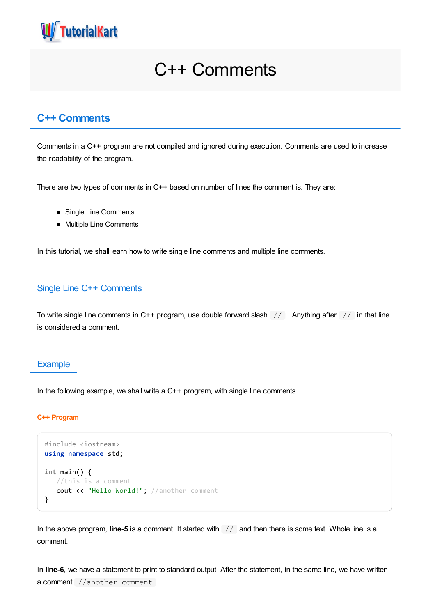

# C++ Comments

# **C++ Comments**

Comments in a C++ program are not compiled and ignored during execution. Comments are used to increase the readability of the program.

There are two types of comments in C++ based on number of lines the comment is. They are:

- Single Line Comments
- **Multiple Line Comments**

In this tutorial, we shall learn how to write single line comments and multiple line comments.

## Single Line C++ Comments

To write single line comments in C++ program, use double forward slash // . Anything after // in that line is considered a comment.

#### **Example**

In the following example, we shall write a C++ program, with single line comments.

#### **C++ Program**

```
#include <iostream>
using namespace std;
int main() {
  //this is a comment
   cout << "Hello World!"; //another comment
}
```
In the above program, **line-5** is a comment. It started with  $\frac{1}{2}$  and then there is some text. Whole line is a comment.

In **line-6**, we have a statement to print to standard output. After the statement, in the same line, we have written a comment //another comment .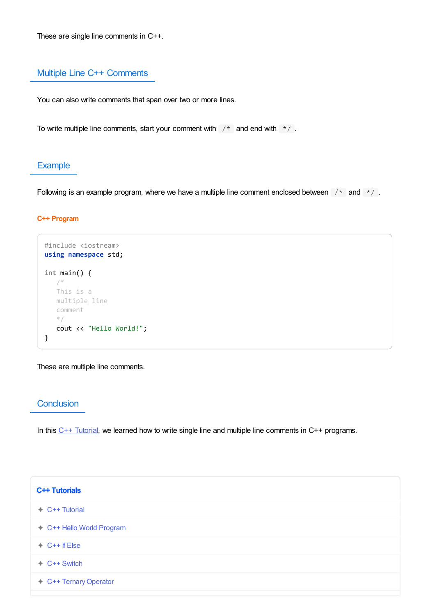These are single line comments in C++.

# Multiple Line C++ Comments

You can also write comments that span over two or more lines.

To write multiple line comments, start your comment with  $\frac{1}{x}$  and end with  $\frac{x}{1-x}$ .

# **Example**

Following is an example program, where we have a multiple line comment enclosed between  $\frac{1}{x}$  and  $\frac{x}{y}$ .

#### **C++ Program**

```
#include <iostream>
using namespace std;
int main() {
  /*
  This is a
  multiple line
  comment
   */
  cout << "Hello World!";
}
```
These are multiple line comments.

### **Conclusion**

In this  $C_{++}$  [Tutorial](https://www.tutorialkart.com/cpp/), we learned how to write single line and multiple line comments in  $C_{++}$  programs.

| C++ Tutorials             |  |
|---------------------------|--|
| $\div$ C++ Tutorial       |  |
| ← C++ Hello World Program |  |
| $+$ C++ If Else           |  |
| $\div$ C++ Switch         |  |
| ← C++ Ternary Operator    |  |
|                           |  |